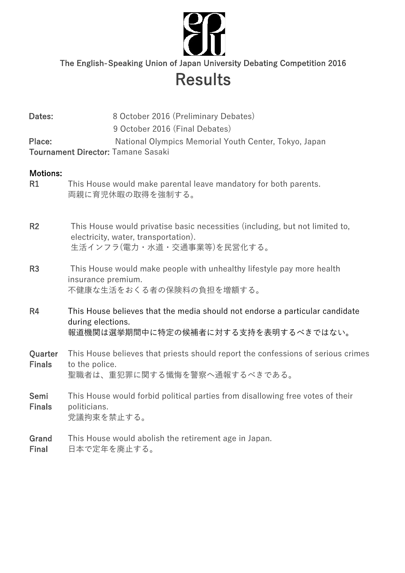

The English-Speaking Union of Japan University Debating Competition 2016

# **Results**

| Dates:                   | 8 October 2016 (Preliminary Debates)                                                                                                               |
|--------------------------|----------------------------------------------------------------------------------------------------------------------------------------------------|
|                          | 9 October 2016 (Final Debates)                                                                                                                     |
| Place:                   | National Olympics Memorial Youth Center, Tokyo, Japan<br>Tournament Director: Tamane Sasaki                                                        |
| <b>Motions:</b><br>R1    | This House would make parental leave mandatory for both parents.<br>両親に育児休暇の取得を強制する。                                                               |
| R2                       | This House would privatise basic necessities (including, but not limited to,<br>electricity, water, transportation).<br>生活インフラ(電力・水道・交通事業等)を民営化する。 |
| R <sub>3</sub>           | This House would make people with unhealthy lifestyle pay more health<br>insurance premium.<br>不健康な生活をおくる者の保険料の負担を増額する。                            |
| R <sub>4</sub>           | This House believes that the media should not endorse a particular candidate<br>during elections.<br>報道機関は選挙期間中に特定の候補者に対する支持を表明するべきではない。           |
| Quarter<br><b>Finals</b> | This House believes that priests should report the confessions of serious crimes<br>to the police.<br>聖職者は、重犯罪に関する懺悔を警察へ通報するべきである。                 |
| Semi<br><b>Finals</b>    | This House would forbid political parties from disallowing free votes of their<br>politicians.<br>党議拘束を禁止する。                                       |
| Grand                    | This House would abolish the retirement age in Japan.                                                                                              |

Final 日本で定年を廃止する。